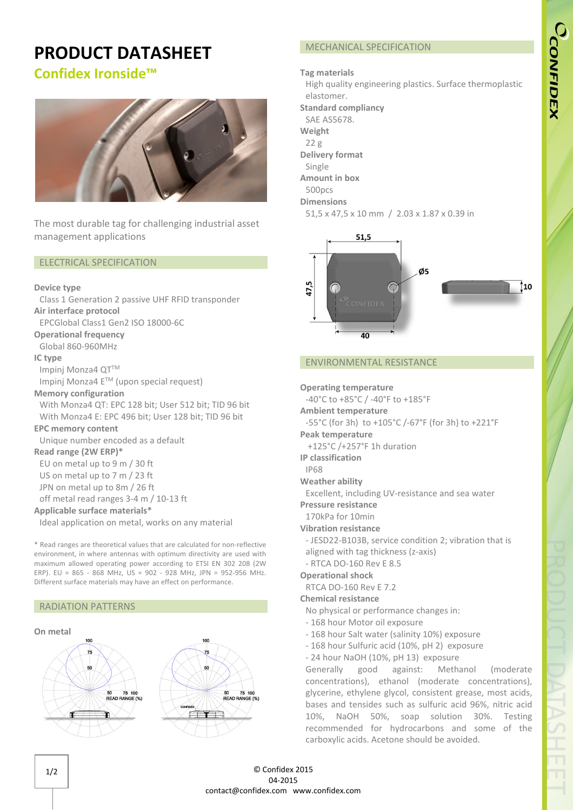# CCONFIDEX

# **PRODUCT DATASHEET**

# **Confidex Ironside™**



The most durable tag for challenging industrial asset management applications

#### ELECTRICAL SPECIFICATION

#### **Device type**

Class 1 Generation 2 passive UHF RFID transponder

# **Air interface protocol**

EPCGlobal Class1 Gen2 ISO 18000-6C

**Operational frequency**

Global 860-960MHz

#### **IC type**

Impinj Monza4 QT™ Impinj Monza4 ETM (upon special request)

# **Memory configuration**

With Monza4 QT: EPC 128 bit; User 512 bit; TID 96 bit With Monza4 E: EPC 496 bit; User 128 bit; TID 96 bit

## **EPC memory content**

Unique number encoded as a default

# **Read range (2W ERP)\***

EU on metal up to 9 m / 30 ft

US on metal up to 7 m / 23 ft

JPN on metal up to 8m / 26 ft

off metal read ranges 3-4 m / 10-13 ft

# **Applicable surface materials\***

Ideal application on metal, works on any material

\* Read ranges are theoretical values that are calculated for non-reflective environment, in where antennas with optimum directivity are used with maximum allowed operating power according to ETSI EN 302 208 (2W ERP). EU = 865 - 868 MHz, US = 902 - 928 MHz, JPN = 952-956 MHz. Different surface materials may have an effect on performance.

# RADIATION PATTERNS



# MECHANICAL SPECIFICATION

#### **Tag materials**

High quality engineering plastics. Surface thermoplastic elastomer.

**Standard compliancy**

SAE AS5678.

**Weight**

22 g

**Delivery format**

Single

**Amount in box** 500pcs

# **Dimensions**

```
51,5 x 47,5 x 10 mm / 2.03 x 1.87 x 0.39 in
```


### ENVIRONMENTAL RESISTANCE

**Operating temperature**

-40°C to +85°C / -40°F to +185°F

**Ambient temperature**

-55°C (for 3h) to +105°C /-67°F (for 3h) to +221°F

**Peak temperature** +125°C /+257°F 1h duration

**IP classification**

IP68

**Weather ability**

Excellent, including UV-resistance and sea water

**Pressure resistance**

170kPa for 10min

**Vibration resistance**

- JESD22-B103B, service condition 2; vibration that is aligned with tag thickness (z-axis)
- RTCA DO-160 Rev E 8.5

### **Operational shock**

RTCA DO-160 Rev E 7.2

#### **Chemical resistance**

- No physical or performance changes in:
- 168 hour Motor oil exposure
- 168 hour Salt water (salinity 10%) exposure
- 168 hour Sulfuric acid (10%, pH 2) exposure
- 24 hour NaOH (10%, pH 13) exposure

Generally good against: Methanol (moderate concentrations), ethanol (moderate concentrations), glycerine, ethylene glycol, consistent grease, most acids, bases and tensides such as sulfuric acid 96%, nitric acid 10%, NaOH 50%, soap solution 30%. Testing recommended for hydrocarbons and some of the carboxylic acids. Acetone should be avoided.